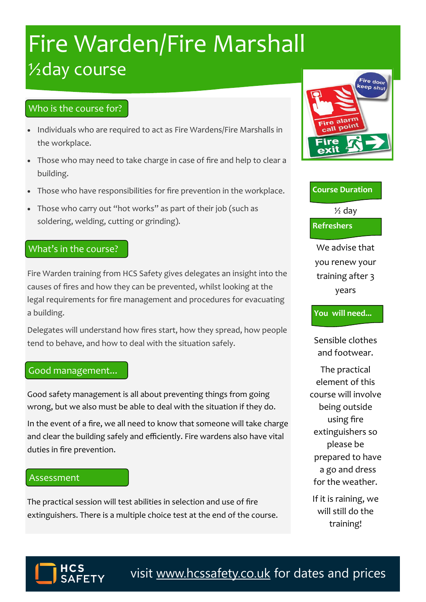# **Fire Warden/Fire Marshall** ½day course

## Who is the course for?

- Individuals who are required to act as Fire Wardens/Fire Marshalls in the workplace.
- Those who may need to take charge in case of fire and help to clear a building.
- Those who have responsibilities for fire prevention in the workplace.
- Those who carry out "hot works" as part of their job (such as soldering, welding, cutting or grinding).

### What's in the course?

Fire Warden training from HCS Safety gives delegates an insight into the causes of fires and how they can be prevented, whilst looking at the legal requirements for fire management and procedures for evacuating a building.

Delegates will understand how fires start, how they spread, how people tend to behave, and how to deal with the situation safely.

#### Good management...

Good safety management is all about preventing things from going wrong, but we also must be able to deal with the situation if they do.

In the event of a fire, we all need to know that someone will take charge and clear the building safely and efficiently. Fire wardens also have vital duties in fire prevention.

#### Assessment

The practical session will test abilities in selection and use of fire extinguishers. There is a multiple choice test at the end of the course.



#### **Course Duration**

 $\frac{1}{2}$  day

**Refreshers**

We advise that you renew your training after 3 years

#### **You will need...**

Sensible clothes and footwear.

The practical element of this course will involve being outside using fire extinguishers so please be prepared to have a go and dress for the weather.

If it is raining, we will still do the training!